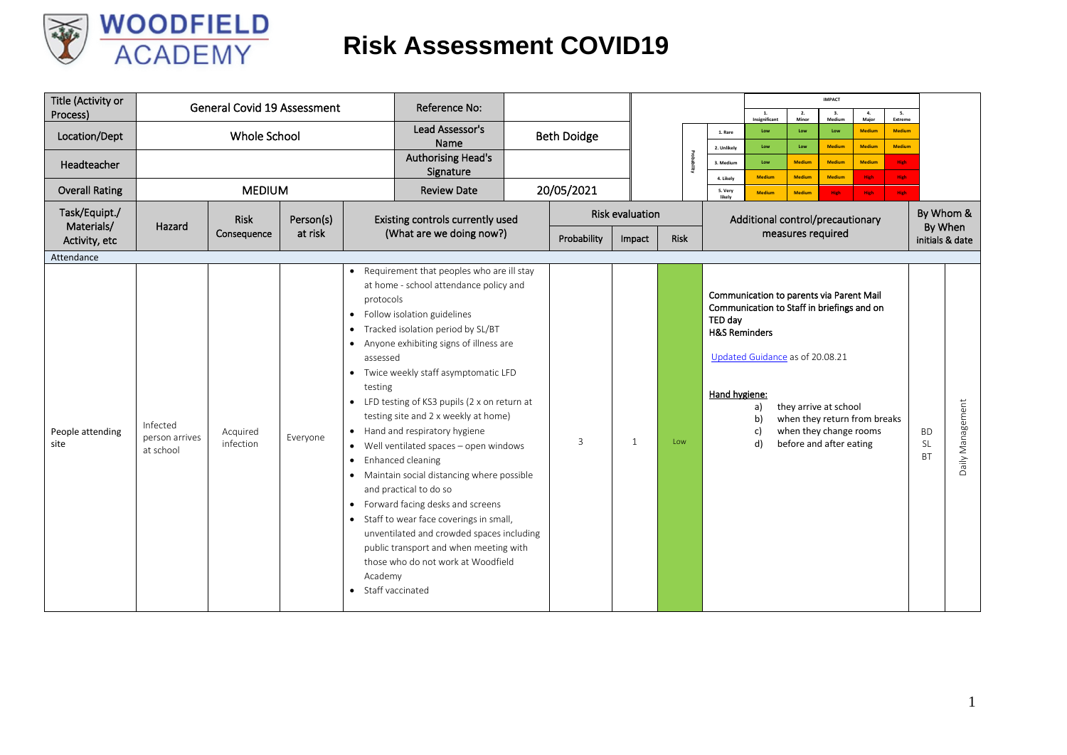

| Title (Activity or<br>Process) |                                         | <b>General Covid 19 Assessment</b> |           |                                                                 | Reference No:                                                                                                                                                                                                                                                                                                                                                                                                                                                                                                                                                                                                                                                                                                                           |                    |                        |      |             |                                                      | 1.<br>Insignificant                                                                                                                               | 2.<br>Minor                    | <b>IMPACT</b><br>3.<br>Medium                                                                              | 4.<br>Major                    | 5.<br>Extreme                  |                                     |                  |  |  |  |
|--------------------------------|-----------------------------------------|------------------------------------|-----------|-----------------------------------------------------------------|-----------------------------------------------------------------------------------------------------------------------------------------------------------------------------------------------------------------------------------------------------------------------------------------------------------------------------------------------------------------------------------------------------------------------------------------------------------------------------------------------------------------------------------------------------------------------------------------------------------------------------------------------------------------------------------------------------------------------------------------|--------------------|------------------------|------|-------------|------------------------------------------------------|---------------------------------------------------------------------------------------------------------------------------------------------------|--------------------------------|------------------------------------------------------------------------------------------------------------|--------------------------------|--------------------------------|-------------------------------------|------------------|--|--|--|
| Location/Dept                  |                                         | Whole School                       |           |                                                                 | Lead Assessor's<br>Name                                                                                                                                                                                                                                                                                                                                                                                                                                                                                                                                                                                                                                                                                                                 | <b>Beth Doidge</b> |                        |      |             | 1. Rare                                              | Low<br>Low                                                                                                                                        | Low<br>Low                     | Low<br><b>Medium</b>                                                                                       | <b>Medium</b><br><b>Medium</b> | <b>Medium</b><br><b>Medium</b> |                                     |                  |  |  |  |
| Headteacher                    |                                         |                                    |           |                                                                 | <b>Authorising Head's</b><br>Signature                                                                                                                                                                                                                                                                                                                                                                                                                                                                                                                                                                                                                                                                                                  |                    |                        |      | ы.<br>nikry | 2. Unlikely<br>3. Medium                             | Low                                                                                                                                               | <b>Medium</b>                  | <b>Medium</b>                                                                                              | <b>Medium</b>                  | <b>High</b>                    |                                     |                  |  |  |  |
| <b>Overall Rating</b>          |                                         | <b>MEDIUM</b>                      |           |                                                                 | <b>Review Date</b>                                                                                                                                                                                                                                                                                                                                                                                                                                                                                                                                                                                                                                                                                                                      | 20/05/2021         |                        |      |             | 4. Likely<br>5. Very<br>likely                       | <b>Medium</b><br><b>Medium</b>                                                                                                                    | <b>Medium</b><br><b>Medium</b> | <b>Medium</b><br><b>High</b>                                                                               | High<br>High                   | <b>High</b><br><b>High</b>     |                                     |                  |  |  |  |
| Task/Equipt./<br>Materials/    | Hazard                                  | <b>Risk</b>                        | Person(s) |                                                                 | Existing controls currently used                                                                                                                                                                                                                                                                                                                                                                                                                                                                                                                                                                                                                                                                                                        |                    | <b>Risk evaluation</b> |      |             |                                                      | Additional control/precautionary                                                                                                                  |                                |                                                                                                            |                                |                                | By Whom &<br>By When                |                  |  |  |  |
| Activity, etc                  |                                         | Consequence                        | at risk   |                                                                 | (What are we doing now?)                                                                                                                                                                                                                                                                                                                                                                                                                                                                                                                                                                                                                                                                                                                | Probability        | Impact                 | Risk |             |                                                      |                                                                                                                                                   | measures required              |                                                                                                            |                                |                                | initials & date                     |                  |  |  |  |
| Attendance                     |                                         |                                    |           |                                                                 |                                                                                                                                                                                                                                                                                                                                                                                                                                                                                                                                                                                                                                                                                                                                         |                    |                        |      |             |                                                      |                                                                                                                                                   |                                |                                                                                                            |                                |                                |                                     |                  |  |  |  |
| People attending<br>site       | Infected<br>person arrives<br>at school | Acquired<br>infection              | Everyone  | protocols<br>assessed<br>testing<br>Academy<br>Staff vaccinated | • Requirement that peoples who are ill stay<br>at home - school attendance policy and<br>• Follow isolation guidelines<br>• Tracked isolation period by SL/BT<br>• Anyone exhibiting signs of illness are<br>• Twice weekly staff asymptomatic LFD<br>• LFD testing of KS3 pupils (2 x on return at<br>testing site and 2 x weekly at home)<br>• Hand and respiratory hygiene<br>• Well ventilated spaces - open windows<br>• Enhanced cleaning<br>• Maintain social distancing where possible<br>and practical to do so<br>• Forward facing desks and screens<br>• Staff to wear face coverings in small,<br>unventilated and crowded spaces including<br>public transport and when meeting with<br>those who do not work at Woodfield | $\mathbf{R}$       | 1                      | Low  |             | TED day<br><b>H&amp;S Reminders</b><br>Hand hygiene: | Communication to parents via Parent Mail<br>Communication to Staff in briefings and on<br>Updated Guidance as of 20.08.21<br>a)<br>b)<br>c)<br>d) |                                | they arrive at school<br>when they return from breaks<br>when they change rooms<br>before and after eating |                                |                                | <b>BD</b><br><b>SL</b><br><b>BT</b> | Daily Management |  |  |  |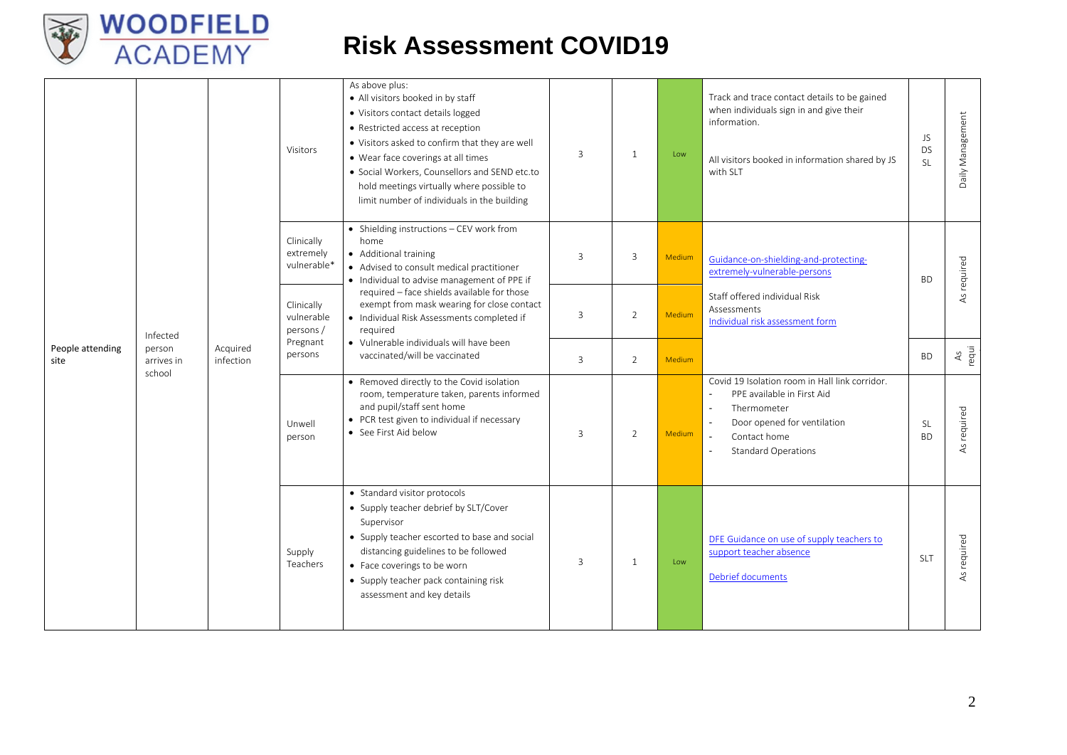

| People attending<br>site |                                |                       | Visitors                                                                                                                                                                                    | As above plus:<br>• All visitors booked in by staff<br>• Visitors contact details logged<br>• Restricted access at reception<br>. Visitors asked to confirm that they are well<br>• Wear face coverings at all times<br>· Social Workers, Counsellors and SEND etc.to<br>hold meetings virtually where possible to<br>limit number of individuals in the building                                        | $\overline{3}$ | $\mathbf{1}$ | Low                                                                                                                                                                                                                              | Track and trace contact details to be gained<br>when individuals sign in and give their<br>information.<br>All visitors booked in information shared by JS<br>with SLT | JS<br><b>DS</b><br><b>SL</b> | Daily Management |
|--------------------------|--------------------------------|-----------------------|---------------------------------------------------------------------------------------------------------------------------------------------------------------------------------------------|----------------------------------------------------------------------------------------------------------------------------------------------------------------------------------------------------------------------------------------------------------------------------------------------------------------------------------------------------------------------------------------------------------|----------------|--------------|----------------------------------------------------------------------------------------------------------------------------------------------------------------------------------------------------------------------------------|------------------------------------------------------------------------------------------------------------------------------------------------------------------------|------------------------------|------------------|
|                          |                                |                       | Clinically<br>extremely<br>vulnerable*                                                                                                                                                      | • Shielding instructions - CEV work from<br>home<br>• Additional training<br>• Advised to consult medical practitioner<br>• Individual to advise management of PPE if<br>required - face shields available for those<br>exempt from mask wearing for close contact<br>· Individual Risk Assessments completed if<br>required<br>• Vulnerable individuals will have been<br>vaccinated/will be vaccinated | $\overline{3}$ | 3            | Medium                                                                                                                                                                                                                           | Guidance-on-shielding-and-protecting-<br>extremely-vulnerable-persons                                                                                                  | <b>BD</b>                    | As required      |
|                          | Infected                       |                       | Clinically<br>vulnerable<br>persons/<br>Pregnant<br>persons                                                                                                                                 |                                                                                                                                                                                                                                                                                                                                                                                                          | 3              | 2            | Medium                                                                                                                                                                                                                           | Staff offered individual Risk<br>Assessments<br>Individual risk assessment form                                                                                        |                              |                  |
|                          | person<br>arrives in<br>school | Acquired<br>infection |                                                                                                                                                                                             |                                                                                                                                                                                                                                                                                                                                                                                                          | 3              | 2            | Medium                                                                                                                                                                                                                           |                                                                                                                                                                        | <b>BD</b>                    | As<br>requi      |
|                          |                                | Unwell<br>person      | • Removed directly to the Covid isolation<br>room, temperature taken, parents informed<br>and pupil/staff sent home<br>• PCR test given to individual if necessary<br>• See First Aid below | 3                                                                                                                                                                                                                                                                                                                                                                                                        | 2              | Medium       | Covid 19 Isolation room in Hall link corridor.<br>PPE available in First Aid<br>$\sim$<br>$\sim$<br>Thermometer<br>$\mathbf{r}$<br>Door opened for ventilation<br>$\sim$<br>Contact home<br><b>Standard Operations</b><br>$\sim$ | <b>SL</b><br><b>BD</b>                                                                                                                                                 | As required                  |                  |
|                          |                                |                       | Supply<br>Teachers                                                                                                                                                                          | • Standard visitor protocols<br>• Supply teacher debrief by SLT/Cover<br>Supervisor<br>• Supply teacher escorted to base and social<br>distancing guidelines to be followed<br>• Face coverings to be worn<br>• Supply teacher pack containing risk<br>assessment and key details                                                                                                                        | $\overline{3}$ | $\mathbf{1}$ | Low                                                                                                                                                                                                                              | DFE Guidance on use of supply teachers to<br>support teacher absence<br>Debrief documents                                                                              | <b>SLT</b>                   | As required      |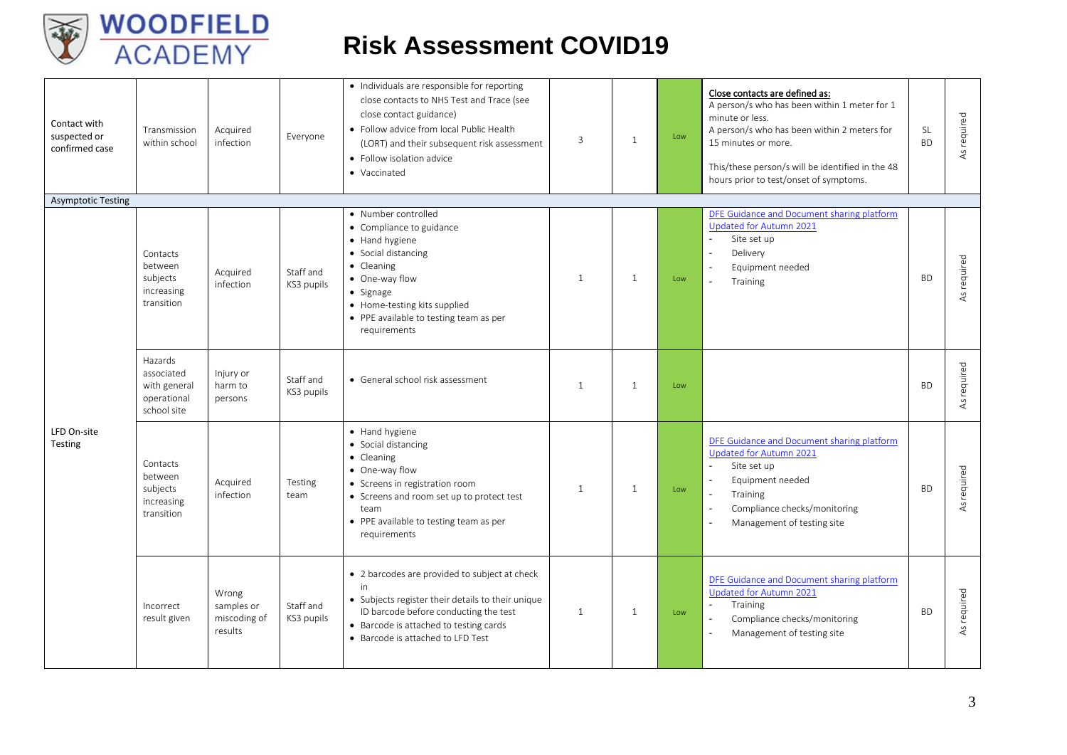

| Contact with<br>suspected or<br>confirmed case | Transmission<br>within school                                       | Acquired<br>infection                          | Everyone                | · Individuals are responsible for reporting<br>close contacts to NHS Test and Trace (see<br>close contact guidance)<br>• Follow advice from local Public Health<br>(LORT) and their subsequent risk assessment<br>• Follow isolation advice<br>• Vaccinated | 3              | $\mathbf{1}$ | Low | Close contacts are defined as:<br>A person/s who has been within 1 meter for 1<br>minute or less.<br>A person/s who has been within 2 meters for<br>15 minutes or more.<br>This/these person/s will be identified in the 48<br>hours prior to test/onset of symptoms. | SL<br><b>BD</b> | As required    |
|------------------------------------------------|---------------------------------------------------------------------|------------------------------------------------|-------------------------|-------------------------------------------------------------------------------------------------------------------------------------------------------------------------------------------------------------------------------------------------------------|----------------|--------------|-----|-----------------------------------------------------------------------------------------------------------------------------------------------------------------------------------------------------------------------------------------------------------------------|-----------------|----------------|
| <b>Asymptotic Testing</b>                      |                                                                     |                                                |                         |                                                                                                                                                                                                                                                             |                |              |     |                                                                                                                                                                                                                                                                       |                 |                |
|                                                | Contacts<br>between<br>subjects<br>increasing<br>transition         | Acquired<br>infection                          | Staff and<br>KS3 pupils | • Number controlled<br>• Compliance to guidance<br>• Hand hygiene<br>• Social distancing<br>• Cleaning<br>• One-way flow<br>$\bullet$ Signage<br>• Home-testing kits supplied<br>• PPE available to testing team as per<br>requirements                     | 1              | $\mathbf{1}$ | Low | DFE Guidance and Document sharing platform<br>Updated for Autumn 2021<br>$\mathbf{r}$<br>Site set up<br>$\blacksquare$<br>Delivery<br>Equipment needed<br>$\blacksquare$<br>Training                                                                                  | <b>BD</b>       | required<br>AS |
|                                                | Hazards<br>associated<br>with general<br>operational<br>school site | Injury or<br>harm to<br>persons                | Staff and<br>KS3 pupils | • General school risk assessment                                                                                                                                                                                                                            | $\overline{1}$ | $\mathbf{1}$ | Low |                                                                                                                                                                                                                                                                       | <b>BD</b>       | As required    |
| LFD On-site<br>Testing                         | Contacts<br>between<br>subjects<br>increasing<br>transition         | Acquired<br>infection                          | Testing<br>team         | • Hand hygiene<br>• Social distancing<br>• Cleaning<br>• One-way flow<br>• Screens in registration room<br>• Screens and room set up to protect test<br>team<br>• PPE available to testing team as per<br>requirements                                      | 1              | $\mathbf{1}$ | Low | DFE Guidance and Document sharing platform<br>Updated for Autumn 2021<br>$\omega$<br>Site set up<br>Equipment needed<br>Training<br>Compliance checks/monitoring<br>Management of testing site                                                                        | <b>BD</b>       | required<br>As |
|                                                | Incorrect<br>result given                                           | Wrong<br>samples or<br>miscoding of<br>results | Staff and<br>KS3 pupils | • 2 barcodes are provided to subject at check<br>in<br>• Subjects register their details to their unique<br>ID barcode before conducting the test<br>• Barcode is attached to testing cards<br>• Barcode is attached to LFD Test                            | 1              | $\mathbf{1}$ | Low | DFE Guidance and Document sharing platform<br>Updated for Autumn 2021<br>Training<br>$\omega$<br>Compliance checks/monitoring<br>$\sim$<br>Management of testing site                                                                                                 | <b>BD</b>       | As required    |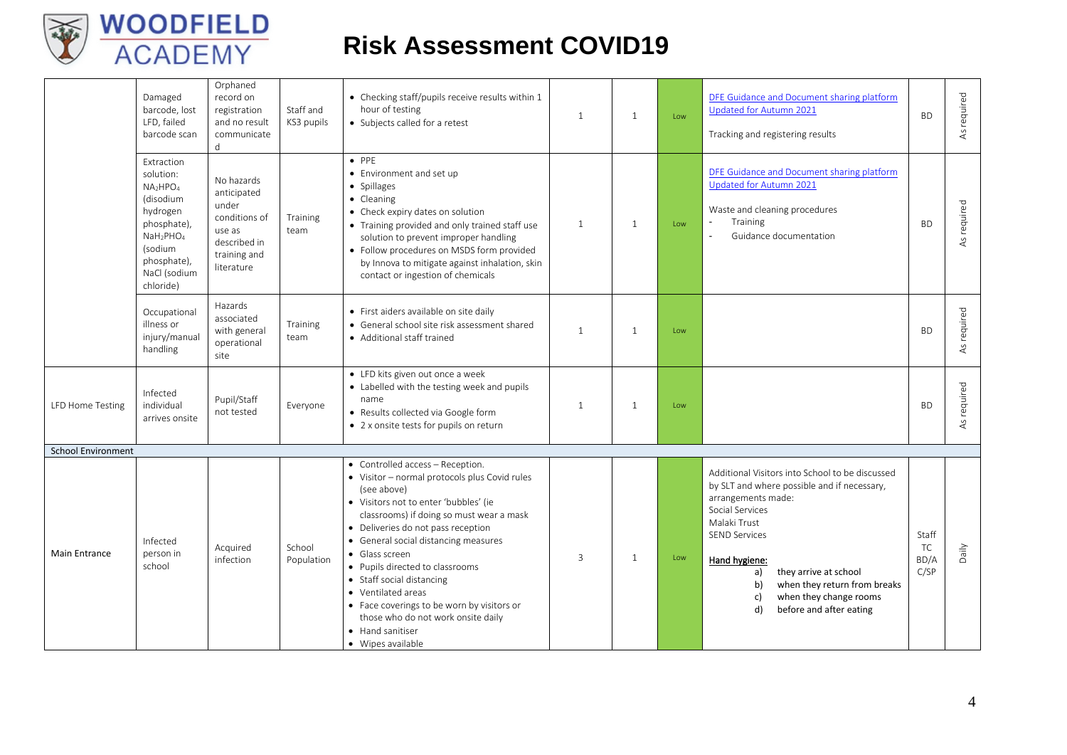

|                           | Damaged<br>barcode, lost<br>LFD, failed<br>barcode scan                                                                                                                                         | Orphaned<br>record on<br>registration<br>and no result<br>communicate<br>d                                  | Staff and<br>KS3 pupils | • Checking staff/pupils receive results within 1<br>hour of testing<br>• Subjects called for a retest                                                                                                                                                                                                                                                                                                                                                                                                    | $\overline{1}$ | $\mathbf{1}$ | Low | DFE Guidance and Document sharing platform<br>Updated for Autumn 2021<br>Tracking and registering results                                                                                                                                                                                                                              | <b>BD</b>                   | As required |
|---------------------------|-------------------------------------------------------------------------------------------------------------------------------------------------------------------------------------------------|-------------------------------------------------------------------------------------------------------------|-------------------------|----------------------------------------------------------------------------------------------------------------------------------------------------------------------------------------------------------------------------------------------------------------------------------------------------------------------------------------------------------------------------------------------------------------------------------------------------------------------------------------------------------|----------------|--------------|-----|----------------------------------------------------------------------------------------------------------------------------------------------------------------------------------------------------------------------------------------------------------------------------------------------------------------------------------------|-----------------------------|-------------|
|                           | Extraction<br>solution:<br>NA <sub>2</sub> HPO <sub>4</sub><br>(disodium<br>hydrogen<br>phosphate),<br>NaH <sub>2</sub> PHO <sub>4</sub><br>(sodium<br>phosphate),<br>NaCl (sodium<br>chloride) | No hazards<br>anticipated<br>under<br>conditions of<br>use as<br>described in<br>training and<br>literature | <b>Training</b><br>team | $\bullet$ PPF<br>• Environment and set up<br>• Spillages<br>• Cleaning<br>• Check expiry dates on solution<br>• Training provided and only trained staff use<br>solution to prevent improper handling<br>• Follow procedures on MSDS form provided<br>by Innova to mitigate against inhalation, skin<br>contact or ingestion of chemicals                                                                                                                                                                | 1              | 1            | Low | DFE Guidance and Document sharing platform<br>Updated for Autumn 2021<br>Waste and cleaning procedures<br>Training<br>Guidance documentation                                                                                                                                                                                           | <b>BD</b>                   | As required |
|                           | Occupational<br>illness or<br>injury/manual<br>handling                                                                                                                                         | Hazards<br>associated<br>with general<br>operational<br>site                                                | <b>Training</b><br>team | · First aiders available on site daily<br>• General school site risk assessment shared<br>• Additional staff trained                                                                                                                                                                                                                                                                                                                                                                                     | $\overline{1}$ | $\mathbf{1}$ | Low |                                                                                                                                                                                                                                                                                                                                        | <b>BD</b>                   | As required |
| <b>LFD Home Testing</b>   | Infected<br>individual<br>arrives onsite                                                                                                                                                        | Pupil/Staff<br>not tested                                                                                   | Everyone                | • LFD kits given out once a week<br>• Labelled with the testing week and pupils<br>name<br>• Results collected via Google form<br>• 2 x onsite tests for pupils on return                                                                                                                                                                                                                                                                                                                                | 1              | $\mathbf{1}$ | Low |                                                                                                                                                                                                                                                                                                                                        | <b>BD</b>                   | As required |
| <b>School Environment</b> |                                                                                                                                                                                                 |                                                                                                             |                         |                                                                                                                                                                                                                                                                                                                                                                                                                                                                                                          |                |              |     |                                                                                                                                                                                                                                                                                                                                        |                             |             |
| <b>Main Entrance</b>      | Infected<br>person in<br>school                                                                                                                                                                 | Acquired<br>infection                                                                                       | School<br>Population    | • Controlled access - Reception.<br>• Visitor - normal protocols plus Covid rules<br>(see above)<br>• Visitors not to enter 'bubbles' (ie<br>classrooms) if doing so must wear a mask<br>• Deliveries do not pass reception<br>• General social distancing measures<br>• Glass screen<br>• Pupils directed to classrooms<br>• Staff social distancing<br>• Ventilated areas<br>• Face coverings to be worn by visitors or<br>those who do not work onsite daily<br>• Hand sanitiser<br>• Wipes available | 3              | $\mathbf{1}$ | Low | Additional Visitors into School to be discussed<br>by SLT and where possible and if necessary,<br>arrangements made:<br>Social Services<br>Malaki Trust<br><b>SEND Services</b><br>Hand hygiene:<br>they arrive at school<br>a)<br>when they return from breaks<br>b)<br>when they change rooms<br>c)<br>d)<br>before and after eating | Staff<br>TC<br>BD/A<br>C/SP | Daily       |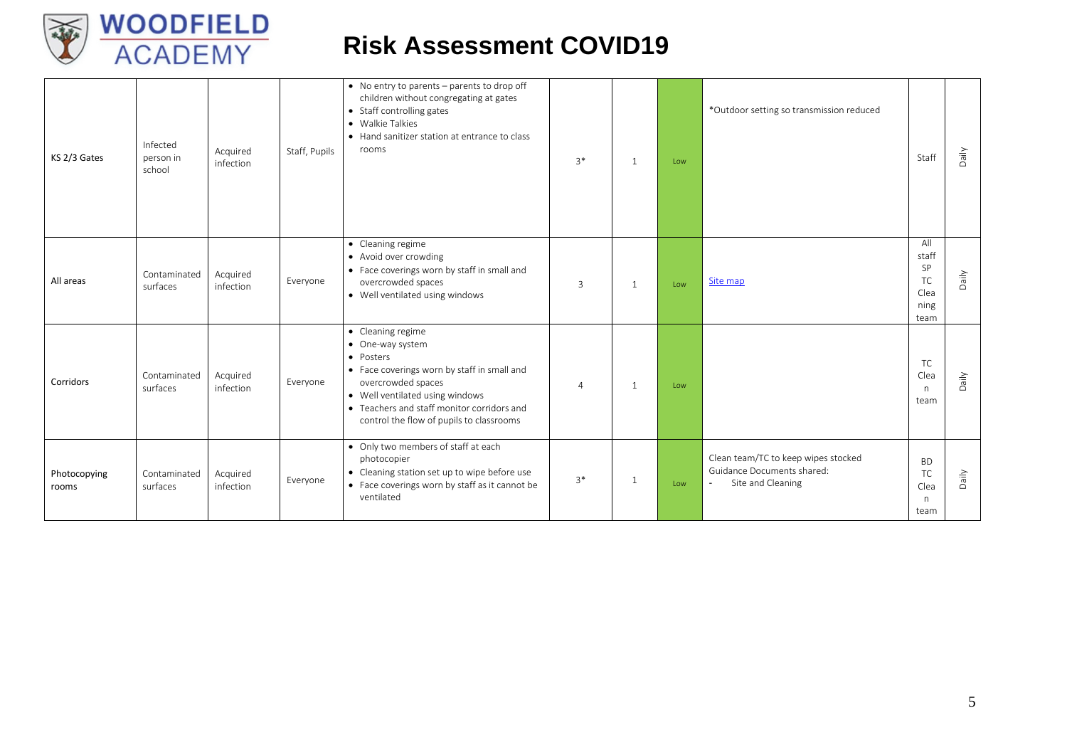

| KS 2/3 Gates          | Infected<br>person in<br>school | Acquired<br>infection | Staff, Pupils | • No entry to parents - parents to drop off<br>children without congregating at gates<br>• Staff controlling gates<br>• Walkie Talkies<br>• Hand sanitizer station at entrance to class<br>rooms                                                     | $3*$     | 1            | Low | *Outdoor setting so transmission reduced                                                         | Staff                                            | Daily |
|-----------------------|---------------------------------|-----------------------|---------------|------------------------------------------------------------------------------------------------------------------------------------------------------------------------------------------------------------------------------------------------------|----------|--------------|-----|--------------------------------------------------------------------------------------------------|--------------------------------------------------|-------|
| All areas             | Contaminated<br>surfaces        | Acquired<br>infection | Everyone      | • Cleaning regime<br>• Avoid over crowding<br>• Face coverings worn by staff in small and<br>overcrowded spaces<br>• Well ventilated using windows                                                                                                   | 3        | $\mathbf{1}$ | Low | Site map                                                                                         | All<br>staff<br>SP<br>TC<br>Clea<br>ning<br>team | Daily |
| Corridors             | Contaminated<br>surfaces        | Acquired<br>infection | Everyone      | • Cleaning regime<br>• One-way system<br>• Posters<br>• Face coverings worn by staff in small and<br>overcrowded spaces<br>• Well ventilated using windows<br>• Teachers and staff monitor corridors and<br>control the flow of pupils to classrooms | $\Delta$ | 1            | Low |                                                                                                  | <b>TC</b><br>Clea<br>n.<br>team                  | Daily |
| Photocopying<br>rooms | Contaminated<br>surfaces        | Acquired<br>infection | Everyone      | • Only two members of staff at each<br>photocopier<br>• Cleaning station set up to wipe before use<br>• Face coverings worn by staff as it cannot be<br>ventilated                                                                                   | $3*$     | 1            | Low | Clean team/TC to keep wipes stocked<br>Guidance Documents shared:<br>Site and Cleaning<br>$\sim$ | <b>BD</b><br>TC<br>Clea<br>n.<br>team            | Daily |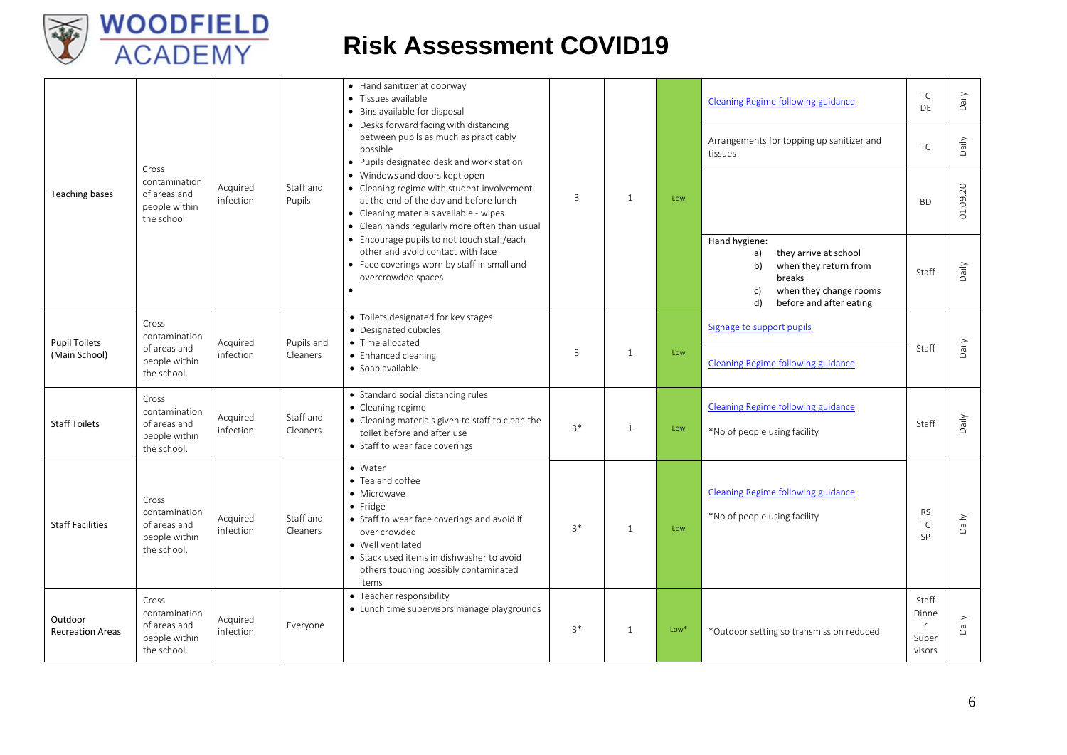

|                                       | Cross                                                                  |                       |                        | • Hand sanitizer at doorway<br>• Tissues available<br>• Bins available for disposal<br>• Desks forward facing with distancing<br>between pupils as much as practicably<br>possible<br>• Pupils designated desk and work station                   |      |              |        | <b>Cleaning Regime following guidance</b><br>Arrangements for topping up sanitizer and<br>tissues                                                      | TC<br>DE<br>TC                         | Daily<br>Daily |
|---------------------------------------|------------------------------------------------------------------------|-----------------------|------------------------|---------------------------------------------------------------------------------------------------------------------------------------------------------------------------------------------------------------------------------------------------|------|--------------|--------|--------------------------------------------------------------------------------------------------------------------------------------------------------|----------------------------------------|----------------|
| Teaching bases                        | contamination<br>of areas and<br>people within<br>the school.          | Acquired<br>infection | Staff and<br>Pupils    | • Windows and doors kept open<br>• Cleaning regime with student involvement<br>at the end of the day and before lunch<br>• Cleaning materials available - wipes<br>• Clean hands regularly more often than usual                                  | 3    | $\mathbf{1}$ | Low    |                                                                                                                                                        | <b>BD</b>                              | 01.09.20       |
|                                       |                                                                        |                       |                        | • Encourage pupils to not touch staff/each<br>other and avoid contact with face<br>• Face coverings worn by staff in small and<br>overcrowded spaces<br>$\bullet$                                                                                 |      |              |        | Hand hygiene:<br>they arrive at school<br>a)<br>b)<br>when they return from<br>breaks<br>when they change rooms<br>c)<br>before and after eating<br>d) | Staff                                  | Daily          |
| <b>Pupil Toilets</b><br>(Main School) | Cross<br>contamination<br>of areas and<br>people within<br>the school. | Acquired<br>infection | Pupils and<br>Cleaners | • Toilets designated for key stages<br>• Designated cubicles<br>• Time allocated<br>• Enhanced cleaning<br>• Soap available                                                                                                                       | 3    | $\mathbf{1}$ | Low    | Signage to support pupils<br>Cleaning Regime following guidance                                                                                        | Staff                                  | Daily          |
| <b>Staff Toilets</b>                  | Cross<br>contamination<br>of areas and<br>people within<br>the school. | Acquired<br>infection | Staff and<br>Cleaners  | • Standard social distancing rules<br>• Cleaning regime<br>• Cleaning materials given to staff to clean the<br>toilet before and after use<br>• Staff to wear face coverings                                                                      | $3*$ | $\mathbf{1}$ | Low    | <b>Cleaning Regime following guidance</b><br>*No of people using facility                                                                              | Staff                                  | Daily          |
| <b>Staff Facilities</b>               | Cross<br>contamination<br>of areas and<br>people within<br>the school. | Acquired<br>infection | Staff and<br>Cleaners  | • Water<br>• Tea and coffee<br>• Microwave<br>$\bullet$ Fridge<br>• Staff to wear face coverings and avoid if<br>over crowded<br>• Well ventilated<br>• Stack used items in dishwasher to avoid<br>others touching possibly contaminated<br>items | $3*$ | $\mathbf{1}$ | Low    | <b>Cleaning Regime following guidance</b><br>*No of people using facility                                                                              | <b>RS</b><br>TC<br>SP                  | Daily          |
| Outdoor<br><b>Recreation Areas</b>    | Cross<br>contamination<br>of areas and<br>people within<br>the school. | Acquired<br>infection | Everyone               | • Teacher responsibility<br>• Lunch time supervisors manage playgrounds                                                                                                                                                                           | $3*$ | $\mathbf{1}$ | $Low*$ | *Outdoor setting so transmission reduced                                                                                                               | Staff<br>Dinne<br>r<br>Super<br>visors | Daily          |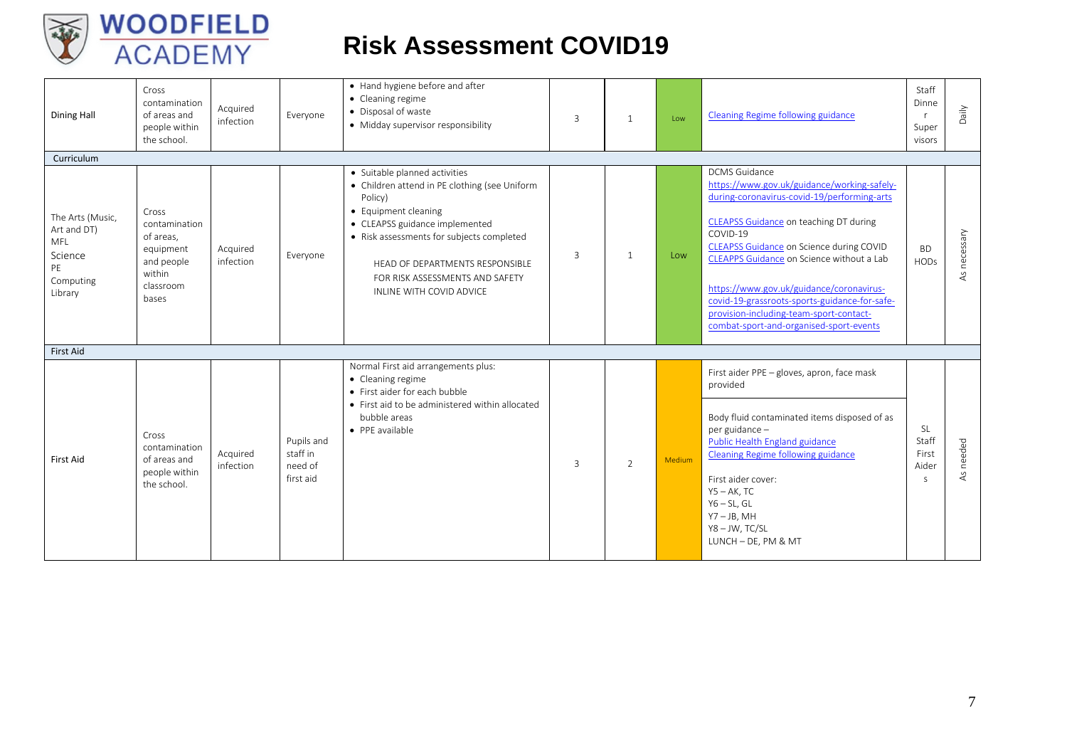

| <b>Dining Hall</b>                                                              | Cross<br>contamination<br>of areas and<br>people within<br>the school.                         | Acquired<br>infection | Everyone                                       | • Hand hygiene before and after<br>• Cleaning regime<br>• Disposal of waste<br>• Midday supervisor responsibility                                                                                                                                                                                  | 3 | $\mathbf{1}$   | Low    | Cleaning Regime following guidance                                                                                                                                                                                                                                                                                                                                                                                                                   | Staff<br>Dinne<br><b>r</b><br>Super<br>visors | Daily           |
|---------------------------------------------------------------------------------|------------------------------------------------------------------------------------------------|-----------------------|------------------------------------------------|----------------------------------------------------------------------------------------------------------------------------------------------------------------------------------------------------------------------------------------------------------------------------------------------------|---|----------------|--------|------------------------------------------------------------------------------------------------------------------------------------------------------------------------------------------------------------------------------------------------------------------------------------------------------------------------------------------------------------------------------------------------------------------------------------------------------|-----------------------------------------------|-----------------|
| Curriculum                                                                      |                                                                                                |                       |                                                |                                                                                                                                                                                                                                                                                                    |   |                |        |                                                                                                                                                                                                                                                                                                                                                                                                                                                      |                                               |                 |
| The Arts (Music,<br>Art and DT)<br>MFL<br>Science<br>PE<br>Computing<br>Library | Cross<br>contamination<br>of areas.<br>equipment<br>and people<br>within<br>classroom<br>bases | Acquired<br>infection | Everyone                                       | • Suitable planned activities<br>• Children attend in PE clothing (see Uniform<br>Policy)<br>• Equipment cleaning<br>• CLEAPSS guidance implemented<br>• Risk assessments for subjects completed<br>HEAD OF DEPARTMENTS RESPONSIBLE<br>FOR RISK ASSESSMENTS AND SAFETY<br>INLINE WITH COVID ADVICE | 3 | $\mathbf{1}$   | Low    | <b>DCMS</b> Guidance<br>https://www.gov.uk/guidance/working-safely-<br>during-coronavirus-covid-19/performing-arts<br>CLEAPSS Guidance on teaching DT during<br>COVID-19<br>CLEAPSS Guidance on Science during COVID<br>CLEAPPS Guidance on Science without a Lab<br>https://www.gov.uk/guidance/coronavirus-<br>covid-19-grassroots-sports-guidance-for-safe-<br>provision-including-team-sport-contact-<br>combat-sport-and-organised-sport-events | <b>BD</b><br><b>HODs</b>                      | necessary<br>4S |
| <b>First Aid</b>                                                                |                                                                                                |                       |                                                |                                                                                                                                                                                                                                                                                                    |   |                |        |                                                                                                                                                                                                                                                                                                                                                                                                                                                      |                                               |                 |
| First Aid                                                                       | Cross<br>contamination<br>of areas and<br>people within<br>the school.                         | Acquired<br>infection | Pupils and<br>staff in<br>need of<br>first aid | Normal First aid arrangements plus:<br>• Cleaning regime<br>• First aider for each bubble<br>• First aid to be administered within allocated<br>bubble areas<br>• PPE available                                                                                                                    | 3 | $\overline{2}$ | Medium | First aider PPE - gloves, apron, face mask<br>provided<br>Body fluid contaminated items disposed of as<br>per guidance -<br>Public Health England guidance<br>Cleaning Regime following guidance<br>First aider cover:<br>$Y5 - AK$ , TC<br>$Y6 - SL$ , GL<br>$Y7 - JB$ , MH<br>Y8-JW, TC/SL<br>LUNCH - DE, PM & MT                                                                                                                                  | SL<br>Staff<br>First<br>Aider<br>S            | needed<br>ΑS    |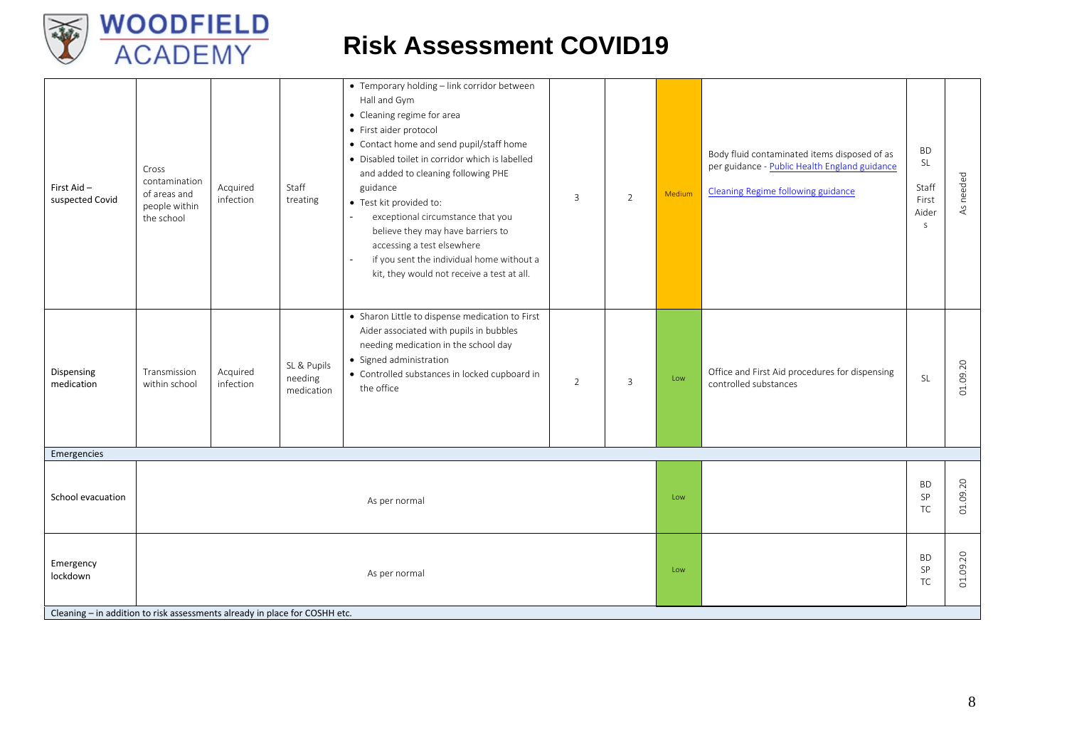

| First Aid-<br>suspected Covid | Cross<br>contamination<br>of areas and<br>people within<br>the school                       | Acquired<br>infection | Staff<br>treating                    | • Temporary holding - link corridor between<br>Hall and Gym<br>• Cleaning regime for area<br>• First aider protocol<br>• Contact home and send pupil/staff home<br>· Disabled toilet in corridor which is labelled<br>and added to cleaning following PHE<br>guidance<br>• Test kit provided to:<br>exceptional circumstance that you<br>$\sim$<br>believe they may have barriers to<br>accessing a test elsewhere<br>if you sent the individual home without a<br>$\blacksquare$<br>kit, they would not receive a test at all. | 3 | 2 | Medium | Body fluid contaminated items disposed of as<br>per guidance - Public Health England guidance<br><b>Cleaning Regime following guidance</b> | <b>BD</b><br>SL<br>Staff<br>First<br>Aider<br>$\mathsf S$ | needed<br>$\overline{\mathsf{AS}}$ |
|-------------------------------|---------------------------------------------------------------------------------------------|-----------------------|--------------------------------------|---------------------------------------------------------------------------------------------------------------------------------------------------------------------------------------------------------------------------------------------------------------------------------------------------------------------------------------------------------------------------------------------------------------------------------------------------------------------------------------------------------------------------------|---|---|--------|--------------------------------------------------------------------------------------------------------------------------------------------|-----------------------------------------------------------|------------------------------------|
| Dispensing<br>medication      | Transmission<br>within school                                                               | Acquired<br>infection | SL & Pupils<br>needing<br>medication | • Sharon Little to dispense medication to First<br>Aider associated with pupils in bubbles<br>needing medication in the school day<br>· Signed administration<br>• Controlled substances in locked cupboard in<br>the office                                                                                                                                                                                                                                                                                                    | 2 | 3 | Low    | Office and First Aid procedures for dispensing<br>controlled substances                                                                    | $\mathsf{SL}% _{2}(T)$                                    | 01.09.20                           |
| Emergencies                   |                                                                                             |                       |                                      |                                                                                                                                                                                                                                                                                                                                                                                                                                                                                                                                 |   |   |        |                                                                                                                                            |                                                           |                                    |
| School evacuation             |                                                                                             |                       |                                      | As per normal                                                                                                                                                                                                                                                                                                                                                                                                                                                                                                                   |   |   | Low    |                                                                                                                                            | <b>BD</b><br>SP<br><b>TC</b>                              | 01.09.20                           |
| Emergency<br>lockdown         | As per normal<br>Cleaning - in addition to risk assessments already in place for COSHH etc. |                       |                                      |                                                                                                                                                                                                                                                                                                                                                                                                                                                                                                                                 |   |   | Low    |                                                                                                                                            | <b>BD</b><br>SP<br>TC                                     | 01.09.20                           |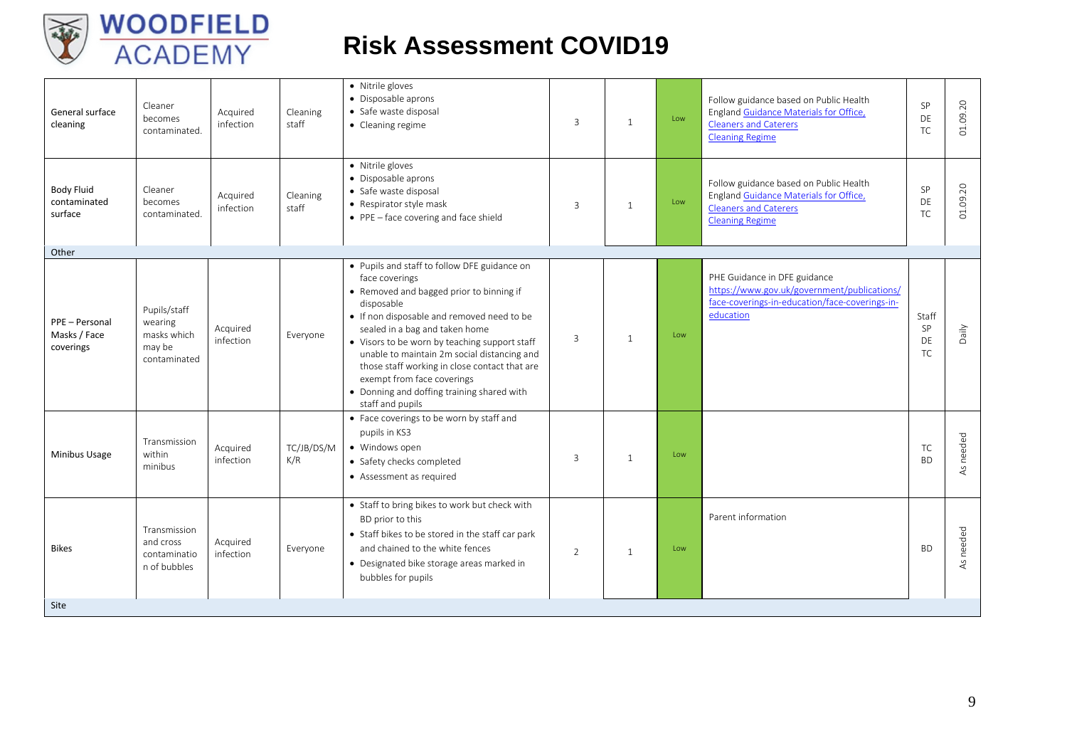

| General surface<br>cleaning                  | Cleaner<br>becomes<br>contaminated.                              | Acquired<br>infection | Cleaning<br>staff | • Nitrile gloves<br>• Disposable aprons<br>• Safe waste disposal<br>• Cleaning regime                                                                                                                                                                                                                                                                                                                                                                     | 3              | $\mathbf{1}$   | Low | Follow guidance based on Public Health<br>England Guidance Materials for Office,<br><b>Cleaners and Caterers</b><br><b>Cleaning Regime</b> | SP<br>DE<br><b>TC</b>          | 01.09.20       |
|----------------------------------------------|------------------------------------------------------------------|-----------------------|-------------------|-----------------------------------------------------------------------------------------------------------------------------------------------------------------------------------------------------------------------------------------------------------------------------------------------------------------------------------------------------------------------------------------------------------------------------------------------------------|----------------|----------------|-----|--------------------------------------------------------------------------------------------------------------------------------------------|--------------------------------|----------------|
| <b>Body Fluid</b><br>contaminated<br>surface | Cleaner<br>becomes<br>contaminated.                              | Acauired<br>infection | Cleaning<br>staff | • Nitrile gloves<br>• Disposable aprons<br>· Safe waste disposal<br>• Respirator style mask<br>$\bullet$ PPE - face covering and face shield                                                                                                                                                                                                                                                                                                              | 3              | 1              | Low | Follow guidance based on Public Health<br>England Guidance Materials for Office,<br><b>Cleaners and Caterers</b><br><b>Cleaning Regime</b> | SP<br>DE<br><b>TC</b>          | 01.09.20       |
| Other                                        |                                                                  |                       |                   |                                                                                                                                                                                                                                                                                                                                                                                                                                                           |                |                |     |                                                                                                                                            |                                |                |
| PPE - Personal<br>Masks / Face<br>coverings  | Pupils/staff<br>wearing<br>masks which<br>may be<br>contaminated | Acquired<br>infection | Everyone          | • Pupils and staff to follow DFE guidance on<br>face coverings<br>• Removed and bagged prior to binning if<br>disposable<br>• If non disposable and removed need to be<br>sealed in a bag and taken home<br>• Visors to be worn by teaching support staff<br>unable to maintain 2m social distancing and<br>those staff working in close contact that are<br>exempt from face coverings<br>• Donning and doffing training shared with<br>staff and pupils | 3              | $\overline{1}$ | Low | PHE Guidance in DFE guidance<br>https://www.gov.uk/government/publications/<br>face-coverings-in-education/face-coverings-in-<br>education | Staff<br>SP<br>DF<br><b>TC</b> | Daily          |
| Minibus Usage                                | Transmission<br>within<br>minibus                                | Acquired<br>infection | TC/JB/DS/M<br>K/R | • Face coverings to be worn by staff and<br>pupils in KS3<br>• Windows open<br>• Safety checks completed<br>• Assessment as required                                                                                                                                                                                                                                                                                                                      | 3              | $\overline{1}$ | Low |                                                                                                                                            | TC<br><b>BD</b>                | needed<br>$45$ |
| <b>Bikes</b>                                 | Transmission<br>and cross<br>contaminatio<br>n of bubbles        | Acquired<br>infection | Everyone          | • Staff to bring bikes to work but check with<br>BD prior to this<br>• Staff bikes to be stored in the staff car park<br>and chained to the white fences<br>• Designated bike storage areas marked in<br>bubbles for pupils                                                                                                                                                                                                                               | $\overline{2}$ | $\mathbf{1}$   | Low | Parent information                                                                                                                         | <b>BD</b>                      | needed<br>45   |
| Site                                         |                                                                  |                       |                   |                                                                                                                                                                                                                                                                                                                                                                                                                                                           |                |                |     |                                                                                                                                            |                                |                |